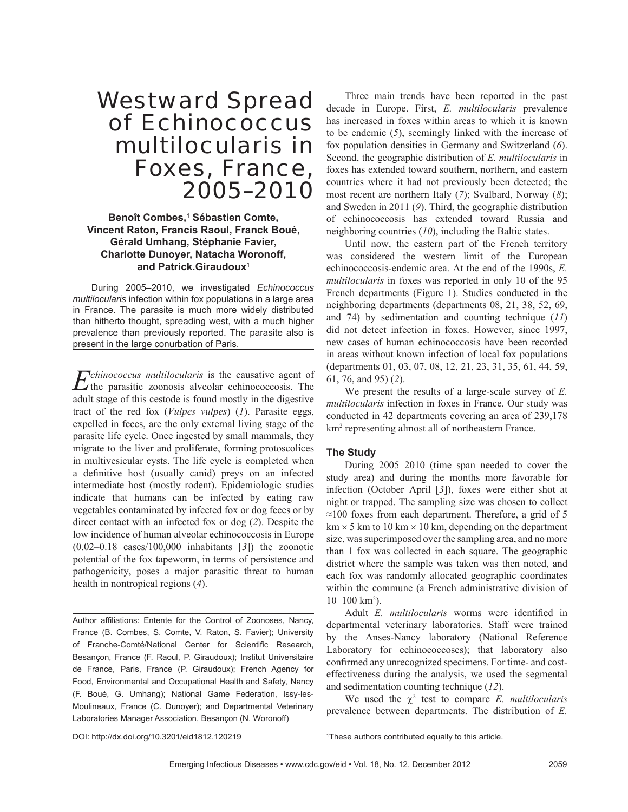# Westward Spread of *Echinococcus multilocularis* in Foxes, France, 2005–2010

## **Benoît Combes,1 Sébastien Comte, Vincent Raton, Francis Raoul, Franck Boué, Gérald Umhang, Stéphanie Favier, Charlotte Dunoyer, Natacha Woronoff, and Patrick.Giraudoux1**

During 2005–2010, we investigated *Echinococcus multilocularis* infection within fox populations in a large area in France. The parasite is much more widely distributed than hitherto thought, spreading west, with a much higher prevalence than previously reported. The parasite also is present in the large conurbation of Paris.

*Echinococcus multilocularis* is the causative agent of the parasitic zoonosis alveolar echinococcosis. The adult stage of this cestode is found mostly in the digestive tract of the red fox (*Vulpes vulpes*) (*1*). Parasite eggs, expelled in feces, are the only external living stage of the parasite life cycle. Once ingested by small mammals, they migrate to the liver and proliferate, forming protoscolices in multivesicular cysts. The life cycle is completed when a definitive host (usually canid) preys on an infected intermediate host (mostly rodent). Epidemiologic studies indicate that humans can be infected by eating raw vegetables contaminated by infected fox or dog feces or by direct contact with an infected fox or dog (*2*). Despite the low incidence of human alveolar echinococcosis in Europe (0.02–0.18 cases/100,000 inhabitants [*3*]) the zoonotic potential of the fox tapeworm, in terms of persistence and pathogenicity, poses a major parasitic threat to human health in nontropical regions (*4*).

Author affiliations: Entente for the Control of Zoonoses, Nancy, France (B. Combes, S. Comte, V. Raton, S. Favier); University of Franche-Comté/National Center for Scientific Research, Besançon, France (F. Raoul, P. Giraudoux); Institut Universitaire de France, Paris, France (P. Giraudoux); French Agency for Food, Environmental and Occupational Health and Safety, Nancy (F. Boué, G. Umhang); National Game Federation, Issy-les-Moulineaux, France (C. Dunoyer); and Departmental Veterinary Laboratories Manager Association, Besançon (N. Woronoff)

Three main trends have been reported in the past decade in Europe. First, *E. multilocularis* prevalence has increased in foxes within areas to which it is known to be endemic (*5*), seemingly linked with the increase of fox population densities in Germany and Switzerland (*6*). Second, the geographic distribution of *E. multilocularis* in foxes has extended toward southern, northern, and eastern countries where it had not previously been detected; the most recent are northern Italy (*7*); Svalbard, Norway (*8*); and Sweden in 2011 (*9*). Third, the geographic distribution of echinococcosis has extended toward Russia and neighboring countries (*10*), including the Baltic states.

Until now, the eastern part of the French territory was considered the western limit of the European echinococcosis-endemic area. At the end of the 1990s, *E. multilocularis* in foxes was reported in only 10 of the 95 French departments (Figure 1). Studies conducted in the neighboring departments (departments 08, 21, 38, 52, 69, and 74) by sedimentation and counting technique (*11*) did not detect infection in foxes. However, since 1997, new cases of human echinococcosis have been recorded in areas without known infection of local fox populations (departments 01, 03, 07, 08, 12, 21, 23, 31, 35, 61, 44, 59, 61, 76, and 95) (*2*).

We present the results of a large-scale survey of *E. multilocularis* infection in foxes in France. Our study was conducted in 42 departments covering an area of 239,178 km<sup>2</sup> representing almost all of northeastern France.

## **The Study**

During 2005–2010 (time span needed to cover the study area) and during the months more favorable for infection (October–April [*3*]), foxes were either shot at night or trapped. The sampling size was chosen to collect  $\approx$ 100 foxes from each department. Therefore, a grid of 5  $km \times 5$  km to 10 km  $\times$  10 km, depending on the department size, was superimposed over the sampling area, and no more than 1 fox was collected in each square. The geographic district where the sample was taken was then noted, and each fox was randomly allocated geographic coordinates within the commune (a French administrative division of  $10-100$  km<sup>2</sup>).

Adult *E. multilocularis* worms were identified in departmental veterinary laboratories. Staff were trained by the Anses-Nancy laboratory (National Reference Laboratory for echinococcoses); that laboratory also confirmed any unrecognized specimens. For time- and costeffectiveness during the analysis, we used the segmental and sedimentation counting technique (*12*).

We used the  $\chi^2$  test to compare *E. multilocularis* prevalence between departments. The distribution of *E.* 

DOI: http://dx.doi.org/10.3201/eid1812.120219

1 These authors contributed equally to this article.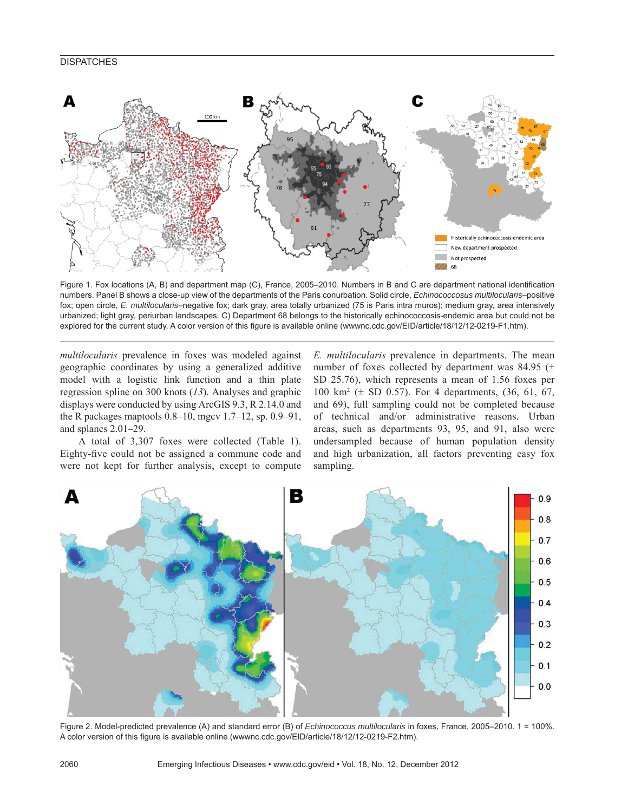## **DISPATCHES**



Figure 1. Fox locations (A, B) and department map (C), France, 2005–2010. Numbers in B and C are department national identification numbers. Panel B shows a close-up view of the departments of the Paris conurbation. Solid circle, *Echinococcosus multilocularis*–positive fox; open circle, *E. multilocularis*–negative fox; dark gray, area totally urbanized (75 is Paris intra muros); medium gray, area intensively urbanized; light gray, periurban landscapes. C) Department 68 belongs to the historically echinococcosis-endemic area but could not be explored for the current study. A color version of this figure is available online (wwwnc.cdc.gov/EID/article/18/12/12-0219-F1.htm).

*multilocularis* prevalence in foxes was modeled against geographic coordinates by using a generalized additive model with a logistic link function and a thin plate regression spline on 300 knots (*13*). Analyses and graphic displays were conducted by using ArcGIS 9.3, R 2.14.0 and the R packages maptools 0.8–10, mgcv 1.7–12, sp. 0.9–91, and splancs 2.01–29.

A total of 3,307 foxes were collected (Table 1). Eighty-five could not be assigned a commune code and were not kept for further analysis, except to compute *E. multilocularis* prevalence in departments. The mean number of foxes collected by department was 84.95 ( $\pm$ SD 25.76), which represents a mean of 1.56 foxes per 100 km2 (± SD 0.57). For 4 departments, (36, 61, 67, and 69), full sampling could not be completed because of technical and/or administrative reasons. Urban areas, such as departments 93, 95, and 91, also were undersampled because of human population density and high urbanization, all factors preventing easy fox sampling.



Figure 2. Model-predicted prevalence (A) and standard error (B) of *Echinococcus multilocularis* in foxes, France, 2005–2010. 1 = 100%. A color version of this figure is available online (wwwnc.cdc.gov/EID/article/18/12/12-0219-F2.htm).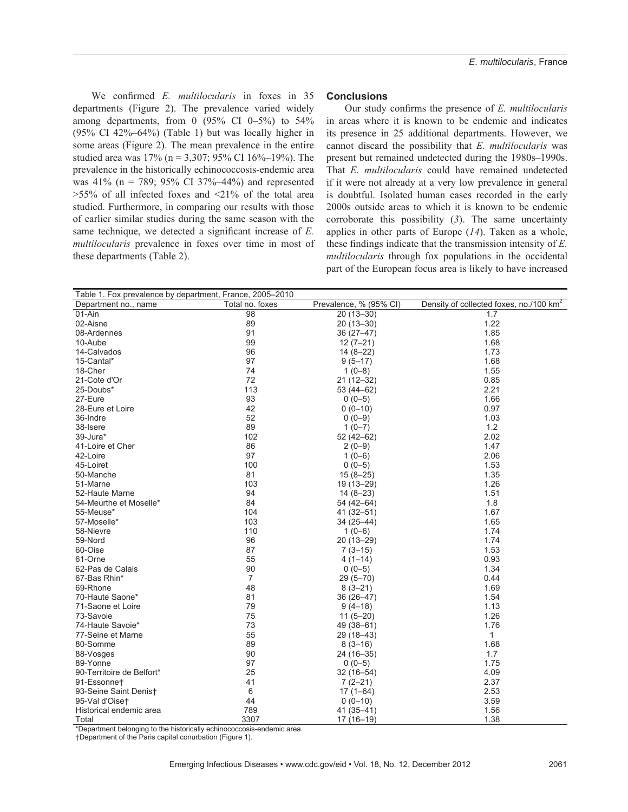We confirmed *E. multilocularis* in foxes in 35 departments (Figure 2). The prevalence varied widely among departments, from 0  $(95\% \text{ CI } 0-5\%)$  to  $54\%$ (95% CI 42%–64%) (Table 1) but was locally higher in some areas (Figure 2). The mean prevalence in the entire studied area was 17% (n = 3,307; 95% CI 16%–19%). The prevalence in the historically echinococcosis-endemic area was 41% ( $n = 789$ ; 95% CI 37%–44%) and represented  $>55\%$  of all infected foxes and  $\leq 21\%$  of the total area studied. Furthermore, in comparing our results with those of earlier similar studies during the same season with the same technique, we detected a significant increase of *E*. *multilocularis* prevalence in foxes over time in most of these departments (Table 2).

#### **Conclusions**

Our study confirms the presence of *E. multilocularis* in areas where it is known to be endemic and indicates its presence in 25 additional departments. However, we cannot discard the possibility that *E. multilocularis* was present but remained undetected during the 1980s–1990s. That *E. multilocularis* could have remained undetected if it were not already at a very low prevalence in general is doubtful. Isolated human cases recorded in the early 2000s outside areas to which it is known to be endemic corroborate this possibility (*3*). The same uncertainty applies in other parts of Europe (*14*). Taken as a whole, these findings indicate that the transmission intensity of *E*. *multilocularis* through fox populations in the occidental part of the European focus area is likely to have increased

| Table 1. Fox prevalence by department, France, 2005–2010 |                 |                        |                                                     |  |  |  |  |
|----------------------------------------------------------|-----------------|------------------------|-----------------------------------------------------|--|--|--|--|
| Department no., name                                     | Total no. foxes | Prevalence, % (95% CI) | Density of collected foxes, no./100 km <sup>2</sup> |  |  |  |  |
| 01-Ain                                                   | 98              | $20(13 - 30)$          | 1.7                                                 |  |  |  |  |
| 02-Aisne                                                 | 89              | $20(13 - 30)$          | 1.22                                                |  |  |  |  |
| 08-Ardennes                                              | 91              | $36(27-47)$            | 1.85                                                |  |  |  |  |
| 10-Aube                                                  | 99              | $12(7-21)$             | 1.68                                                |  |  |  |  |
| 14-Calvados                                              | 96              | $14(8-22)$             | 1.73                                                |  |  |  |  |
| 15-Cantal*                                               | 97              | $9(5-17)$              | 1.68                                                |  |  |  |  |
| 18-Cher                                                  | 74              | $1(0-8)$               | 1.55                                                |  |  |  |  |
| 21-Cote d'Or                                             | 72              | $21(12-32)$            | 0.85                                                |  |  |  |  |
| 25-Doubs*                                                | 113             | $53(44-62)$            | 2.21                                                |  |  |  |  |
| 27-Eure                                                  | 93              | $0(0-5)$               | 1.66                                                |  |  |  |  |
| 28-Eure et Loire                                         | 42              | $0(0-10)$              | 0.97                                                |  |  |  |  |
| 36-Indre                                                 | 52              | $0(0-9)$               | 1.03                                                |  |  |  |  |
| 38-Isere                                                 | 89              | $1(0-7)$               | 1.2                                                 |  |  |  |  |
| 39-Jura*                                                 | 102             | $52(42-62)$            | 2.02                                                |  |  |  |  |
| 41-Loire et Cher                                         | 86              | $2(0-9)$               | 1.47                                                |  |  |  |  |
| 42-Loire                                                 | 97              | $1(0-6)$               | 2.06                                                |  |  |  |  |
| 45-Loiret                                                | 100             | $0(0-5)$               | 1.53                                                |  |  |  |  |
| 50-Manche                                                | 81              |                        | 1.35                                                |  |  |  |  |
| 51-Marne                                                 | 103             | $15(8-25)$             | 1.26                                                |  |  |  |  |
|                                                          |                 | 19 (13-29)             |                                                     |  |  |  |  |
| 52-Haute Marne                                           | 94              | $14(8-23)$             | 1.51                                                |  |  |  |  |
| 54-Meurthe et Moselle*                                   | 84              | 54 (42-64)             | 1.8                                                 |  |  |  |  |
| 55-Meuse*                                                | 104             | $41(32 - 51)$          | 1.67                                                |  |  |  |  |
| 57-Moselle*                                              | 103             | $34(25 - 44)$          | 1.65                                                |  |  |  |  |
| 58-Nievre                                                | 110             | $1(0-6)$               | 1.74                                                |  |  |  |  |
| 59-Nord                                                  | 96              | 20 (13-29)             | 1.74                                                |  |  |  |  |
| 60-Oise                                                  | 87              | $7(3-15)$              | 1.53                                                |  |  |  |  |
| 61-Orne                                                  | 55              | $4(1-14)$              | 0.93                                                |  |  |  |  |
| 62-Pas de Calais                                         | 90              | $0(0-5)$               | 1.34                                                |  |  |  |  |
| 67-Bas Rhin*                                             | $\overline{7}$  | $29(5 - 70)$           | 0.44                                                |  |  |  |  |
| 69-Rhone                                                 | 48              | $8(3-21)$              | 1.69                                                |  |  |  |  |
| 70-Haute Saone*                                          | 81              | $36(26 - 47)$          | 1.54                                                |  |  |  |  |
| 71-Saone et Loire                                        | 79              | $9(4-18)$              | 1.13                                                |  |  |  |  |
| 73-Savoie                                                | 75              | $11(5-20)$             | 1.26                                                |  |  |  |  |
| 74-Haute Savoie*                                         | 73              | 49 (38-61)             | 1.76                                                |  |  |  |  |
| 77-Seine et Marne                                        | 55              | 29 (18-43)             | $\mathbf{1}$                                        |  |  |  |  |
| 80-Somme                                                 | 89              | $8(3-16)$              | 1.68                                                |  |  |  |  |
| 88-Vosges                                                | 90              | 24 (16-35)             | 1.7                                                 |  |  |  |  |
| 89-Yonne                                                 | 97              | $0(0-5)$               | 1.75                                                |  |  |  |  |
| 90-Territoire de Belfort*                                | 25              | $32(16-54)$            | 4.09                                                |  |  |  |  |
| 91-Essonnet                                              | 41              | $7(2-21)$              | 2.37                                                |  |  |  |  |
| 93-Seine Saint Denist                                    | 6               | $17(1 - 64)$           | 2.53                                                |  |  |  |  |
| 95-Val d'Oiset                                           | 44              | $0(0-10)$              | 3.59                                                |  |  |  |  |
| Historical endemic area                                  | 789             | 41 (35-41)             | 1.56                                                |  |  |  |  |
| Total                                                    | 3307            | $17(16-19)$            | 1.38                                                |  |  |  |  |

\*Department belonging to the historically echinococcosis-endemic area.

†Department of the Paris capital conurbation (Figure 1).